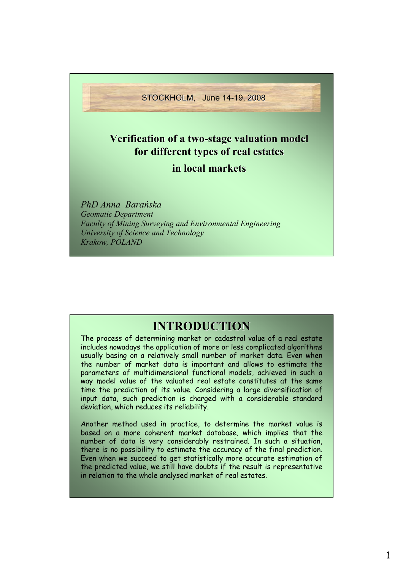STOCKHOLM, June 14-19, 2008

## **Verification of a two Verification of a two-stage valuation model stage valuation model for different different types of real estates types of real estates**

### **in local markets in local markets**

*PhD Anna Barańska Geomatic Department Faculty of Mining Surveying and Environmental Engineering University of Science and Technology Krakow, POLAND*

# **INTRODUCTION INTRODUCTION**

The process of determining market or cadastral value of a real estate includes nowadays the application of more or less complicated algorithms usually basing on a relatively small number of market data. Even when the number of market data is important and allows to estimate the parameters of multidimensional functional models, achieved in such a way model value of the valuated real estate constitutes at the same time the prediction of its value. Considering a large diversification of input data, such prediction is charged with a considerable standard deviation, which reduces its reliability.

Another method used in practice, to determine the market value is based on a more coherent market database, which implies that the number of data is very considerably restrained. In such a situation, there is no possibility to estimate the accuracy of the final prediction. Even when we succeed to get statistically more accurate estimation of the predicted value, we still have doubts if the result is representative in relation to the whole analysed market of real estates.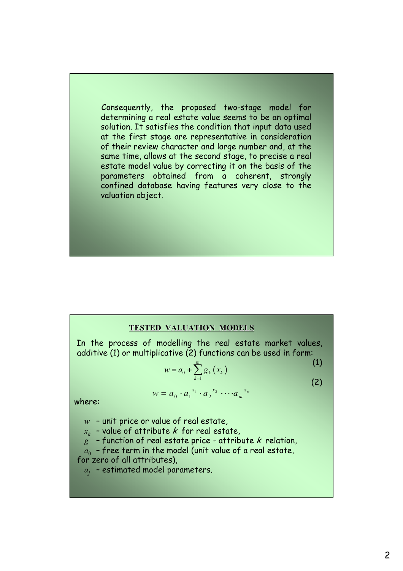Consequently, the proposed two-stage model for determining a real estate value seems to be an optimal solution. It satisfies the condition that input data used at the first stage are representative in consideration of their review character and large number and, at the same time, allows at the second stage, to precise a real estate model value by correcting it on the basis of the parameters obtained from a coherent, strongly confined database having features very close to the valuation object.

#### **TESTED VALUATION MODELS**

In the process of modelling the real estate market values, additive (1) or multiplicative (2) functions can be used in form:

 $w = a_0 \cdot a_1^{x_1} \cdot a_2^{x_2} \cdot \cdots \cdot a_m$ 

$$
w = a_0 + \sum_{k=1}^{m} g_k(x_k)
$$
\n(1)

*xm*

where:

*w* – unit price or value of real estate,

 $x_k$  - value of attribute  $k$  for real estate,

 $g^{\circ}$  - function of real estate price - attribute  $k$  relation,

 $a_0$  - free term in the model (unit value of a real estate, for zero of all attributes),

*aj* – estimated model parameters.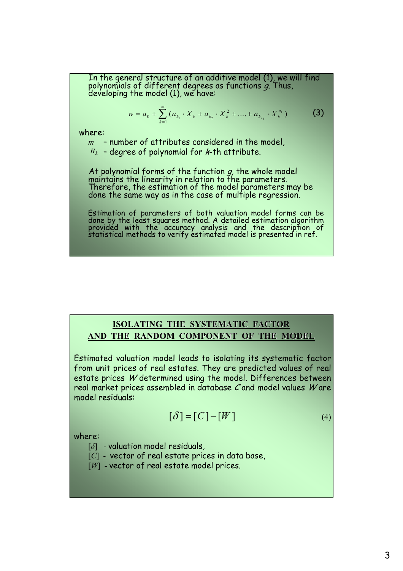In the general structure of an additive model (1), we will find polynomials of different degrees as functions g. Thus, developing the model (1), we have:

$$
w = a_0 + \sum_{k=1}^{m} (a_{k_1} \cdot X_k + a_{k_2} \cdot X_k^2 + \dots + a_{k_{n_k}} \cdot X_k^{n_k})
$$
 (3)

where:

*m* – number of attributes considered in the model,  $n_k$  - degree of polynomial for *k*-th attribute.

At polynomial forms of the function  $g$ , the whole model maintains the linearity in relation to the parameters. Therefore, the estimation of the model parameters may be done the same way as in the case of multiple regression.

Estimation of parameters of both valuation model forms can be done by the least squares method. A detailed estimation algorithm provided with the accuracy analysis and the description of statistical methods to verify estimated model is presented in ref.

### **ISOLATING THE SYSTEMATIC FACTOR AND THE RANDOM COMPONENT OF THE MODEL**

Estimated valuation model leads to isolating its systematic factor from unit prices of real estates. They are predicted values of real estate prices W determined using the model. Differences between real market prices assembled in database C and model values W are model residuals:

$$
[\delta] = [C] - [W] \tag{4}
$$

where:

- [*δ*] valuation model residuals,
- [C] vector of real estate prices in data base,
- [*W*] vector of real estate model prices.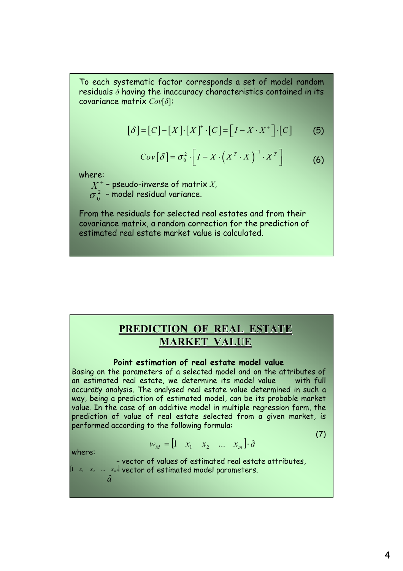To each systematic factor corresponds a set of model random residuals *δ* having the inaccuracy characteristics contained in its covariance matrix *Cov*[*δ*]:

$$
[\delta] = [C] - [X] \cdot [X]^{+} \cdot [C] = [I - X \cdot X^{+}] \cdot [C]
$$
 (5)

$$
Cov[\delta] = \sigma_0^2 \cdot \left[ I - X \cdot \left( X^T \cdot X \right)^{-1} \cdot X^T \right] \tag{6}
$$

where:

 $X_\star^+$  - pseudo-inverse of matrix  $X_\star$  $\sigma_0^{\,2}\,$  - model residual variance.

From the residuals for selected real estates and from their covariance matrix, a random correction for the prediction of estimated real estate market value is calculated.

### **PREDICTION OF REAL ESTATE MARKET VALUE**

#### **Point estimation of real estate model value**

Basing on the parameters of a selected model and on the attributes of an estimated real estate, we determine its model value with full accuraty analysis. The analysed real estate value determined in such a way, being a prediction of estimated model, can be its probable market value. In the case of an additive model in multiple regression form, the prediction of value of real estate selected from a given market, is performed according to the following formula:

(7)

$$
w_M = \begin{bmatrix} 1 & x_1 & x_2 & \dots & x_m \end{bmatrix} \cdot \hat{a}
$$

where:

– vector of values of estimated real estate attributes,  $\begin{bmatrix} 1 & x_1 & x_2 & ... & x_m \end{bmatrix}$  vector of estimated model parameters. *a*ˆ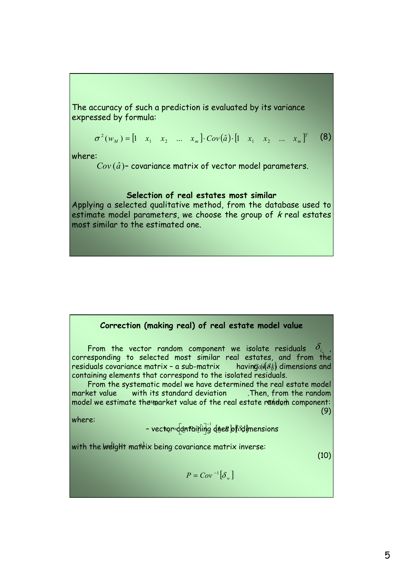The accuracy of such a prediction is evaluated by its variance expressed by formula:

$$
\sigma^{2}(w_{M}) = [1 \quad x_{1} \quad x_{2} \quad \dots \quad x_{m}] \cdot Cov(\hat{a}) \cdot [1 \quad x_{1} \quad x_{2} \quad \dots \quad x_{m}]^{T} \tag{8}
$$

where:

 $Cov(\hat{a})$ - covariance matrix of vector model parameters.

#### **Selection of real estates most similar**

Applying a selected qualitative method, from the database used to estimate model parameters, we choose the group of  $k$  real estates most similar to the estimated one.

#### **Correction (making real) of real estate model value**

From the vector random component we isolate residuals corresponding to selected most similar real estates, and from the residuals covariance matrix - a sub-matrix containing elements that correspond to the isolated residuals.  $\delta_{_{l_w}}$ having  $d$ <sup> $\mathscr{B}_k$  dimensions and</sup>

From the systematic model we have determined the real estate model market value with its standard deviation . Then, from the random model we estimate the market value of the real estate random component: (9)

where:

- vector=dantaiking direBof&dimensions

with the  $\bar{w}$ elight mathix being covariance matrix inverse:

(10)

$$
P = Cov^{-1} \big[ \delta_w \big]
$$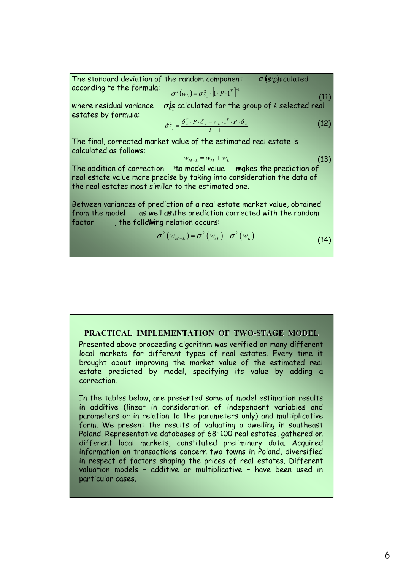The standard deviation of the random component according to the formula: (11)  $\sigma$  *(s* $c$ *d*) culated  $\sigma^2(w_L) = \sigma_{0_w}^2 \cdot [1 \cdot P \cdot 1]^T$ 

where residual variance  $\sigma_{0x}^2$  calculated for the group of  $k$  selected real estates by formula:

$$
\hat{\sigma}_{0_w}^2 = \frac{\delta_w^T \cdot P \cdot \delta_w - w_L \cdot \underline{1}^T \cdot P \cdot \delta_w}{k - 1}
$$
\n(12)

The final, corrected market value of the estimated real estate is calculated as follows:

$$
w_{M+L} = w_M + w_L \tag{13}
$$

The addition of correction to model value makes the prediction of real estate value more precise by taking into consideration the data of the real estates most similar to the estimated one.

Between variances of prediction of a real estate market value, obtained from the model as well as the prediction corrected with the random factor factor the following relation occurs:

$$
\sigma^{2}(w_{M+L}) = \sigma^{2}(w_{M}) - \sigma^{2}(w_{L})
$$
\n(14)

#### **PRACTICAL IMPLEMENTATION OF TWO-STAGE MODEL**

Presented above proceeding algorithm was verified on many different local markets for different types of real estates. Every time it brought about improving the market value of the estimated real estate predicted by model, specifying its value by adding a correction.

In the tables below, are presented some of model estimation results in additive (linear in consideration of independent variables and parameters or in relation to the parameters only) and multiplicative form. We present the results of valuating a dwelling in southeast Poland. Representative databases of 68÷100 real estates, gathered on different local markets, constituted preliminary data. Acquired information on transactions concern two towns in Poland, diversified in respect of factors shaping the prices of real estates. Different valuation models – additive or multiplicative – have been used in particular cases.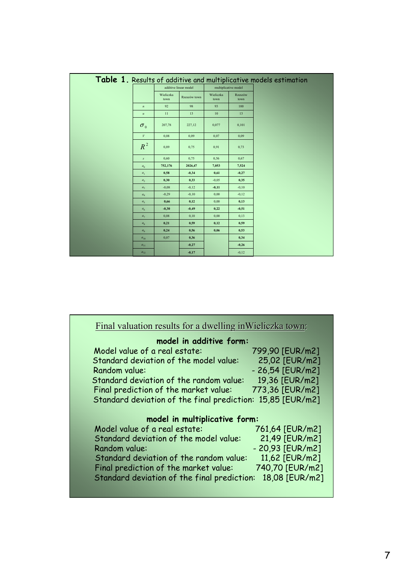|                  |                   |                       |                      |                 | Table 1. Results of additive and multiplicative models estimation |
|------------------|-------------------|-----------------------|----------------------|-----------------|-------------------------------------------------------------------|
|                  |                   | additive linear model | multiplicative model |                 |                                                                   |
|                  | Wieliczka<br>town | Rzeszów town          | Wieliczka<br>town    | Rzeszów<br>town |                                                                   |
| $\boldsymbol{n}$ | 92                | 98                    | 93                   | 100             |                                                                   |
| $\boldsymbol{u}$ | 11                | 13                    | 10                   | 13              |                                                                   |
| $\sigma_{0}$     | 207,78            | 227,12                | 0,077                | 0,101           |                                                                   |
| V                | 0.08              | 0,09                  | 0,07                 | 0,09            |                                                                   |
| $R^2$            | 0,89              | 0,75                  | 0,91                 | 0,73            |                                                                   |
| $\sqrt{s}$       | 0,60              | 0,75                  | 0,56                 | 0,67            |                                                                   |
| a <sub>0</sub>   | 752,176           | 2026,47               | 7,053                | 7,524           |                                                                   |
| a <sub>1</sub>   | 0.58              | $-0,34$               | 0,61                 | $-0,27$         |                                                                   |
| a <sub>2</sub>   | 0.30              | 0,33                  | $-0.05$              | 0.35            |                                                                   |
| a <sub>3</sub>   | $-0.08$           | $-0,12$               | $-0,11$              | $-0,10$         |                                                                   |
| a <sub>4</sub>   | $-0,29$           | $-0,10$               | 0,00                 | $-0,12$         |                                                                   |
| a <sub>5</sub>   | 0,66              | 0,12                  | 0,00                 | 0,13            |                                                                   |
| a <sub>6</sub>   | $-0,30$           | $-0,49$               | 0,22                 | $-0.51$         |                                                                   |
| a <sub>7</sub>   | 0,08              | 0,10                  | 0,00                 | 0,13            |                                                                   |
| $a_8$            | 0,21              | 0,59                  | 0,12                 | 0.59            |                                                                   |
| a <sub>0</sub>   | 0,24              | 0,56                  | 0,06                 | 0.53            |                                                                   |
| $a_{10}$         | 0,07              | 0,36                  |                      | 0,34            |                                                                   |
| $a_{11}$         |                   | $-0,27$               |                      | $-0,26$         |                                                                   |
| $a_{12}$         |                   | $-0,17$               |                      | $-0,12$         |                                                                   |

| model in additive form:                     |                   |
|---------------------------------------------|-------------------|
| Model value of a real estate:               | 799,90 [EUR/m2]   |
| Standard deviation of the model value:      | 25,02 [EUR/m2]    |
| Random value:                               | $-26,54$ [EUR/m2] |
| Standard deviation of the random value:     | 19,36 [EUR/m2]    |
| Final prediction of the market value:       | 773,36 [EUR/m2]   |
| Standard deviation of the final prediction: | 15,85 [EUR/m2]    |
| model in multiplicative form:               |                   |
| Model value of a real estate:               | 761,64 [EUR/m2]   |
| Standard deviation of the model value:      | 21,49 [EUR/m2]    |
| Random value:                               | $-20,93$ [EUR/m2] |
| Standard deviation of the random value:     | 11,62 [EUR/m2]    |
| Final prediction of the market value:       | 740,70 [EUR/m2]   |
| Standard deviation of the final prediction: | 18,08 [EUR/m2]    |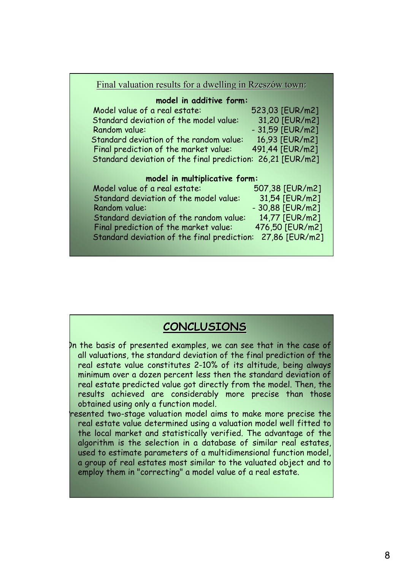| Final valuation results for a dwelling in Rzeszów town:    |                   |
|------------------------------------------------------------|-------------------|
| model in additive form:                                    |                   |
| Model value of a real estate:                              | 523,03 [EUR/m2]   |
| Standard deviation of the model value:                     | 31,20 [EUR/m2]    |
| Random value:                                              | - 31,59 [EUR/m2]  |
| Standard deviation of the random value:                    | 16,93 [EUR/m2]    |
| Final prediction of the market value:                      | 491,44 [EUR/m2]   |
| Standard deviation of the final prediction: 26,21 [EUR/m2] |                   |
| model in multiplicative form:                              |                   |
| Model value of a real estate:                              | 507,38 [EUR/m2]   |
| Standard deviation of the model value:                     | 31,54 [EUR/m2]    |
| Random value:                                              | $-30,88$ [EUR/m2] |
| Standard deviation of the random value:                    | 14,77 [EUR/m2]    |
| Final prediction of the market value:                      | 476,50 [EUR/m2]   |
| Standard deviation of the final prediction:                | 27,86 [EUR/m2]    |

## **CONCLUSIONS**

- In the basis of presented examples, we can see that in the case of all valuations, the standard deviation of the final prediction of the real estate value constitutes 2-10% of its altitude, being always minimum over a dozen percent less then the standard deviation of real estate predicted value got directly from the model. Then, the results achieved are considerably more precise than those obtained using only a function model.
- resented two-stage valuation model aims to make more precise the real estate value determined using a valuation model well fitted to the local market and statistically verified. The advantage of the algorithm is the selection in a database of similar real estates, used to estimate parameters of a multidimensional function model, a group of real estates most similar to the valuated object and to employ them in "correcting" a model value of a real estate.